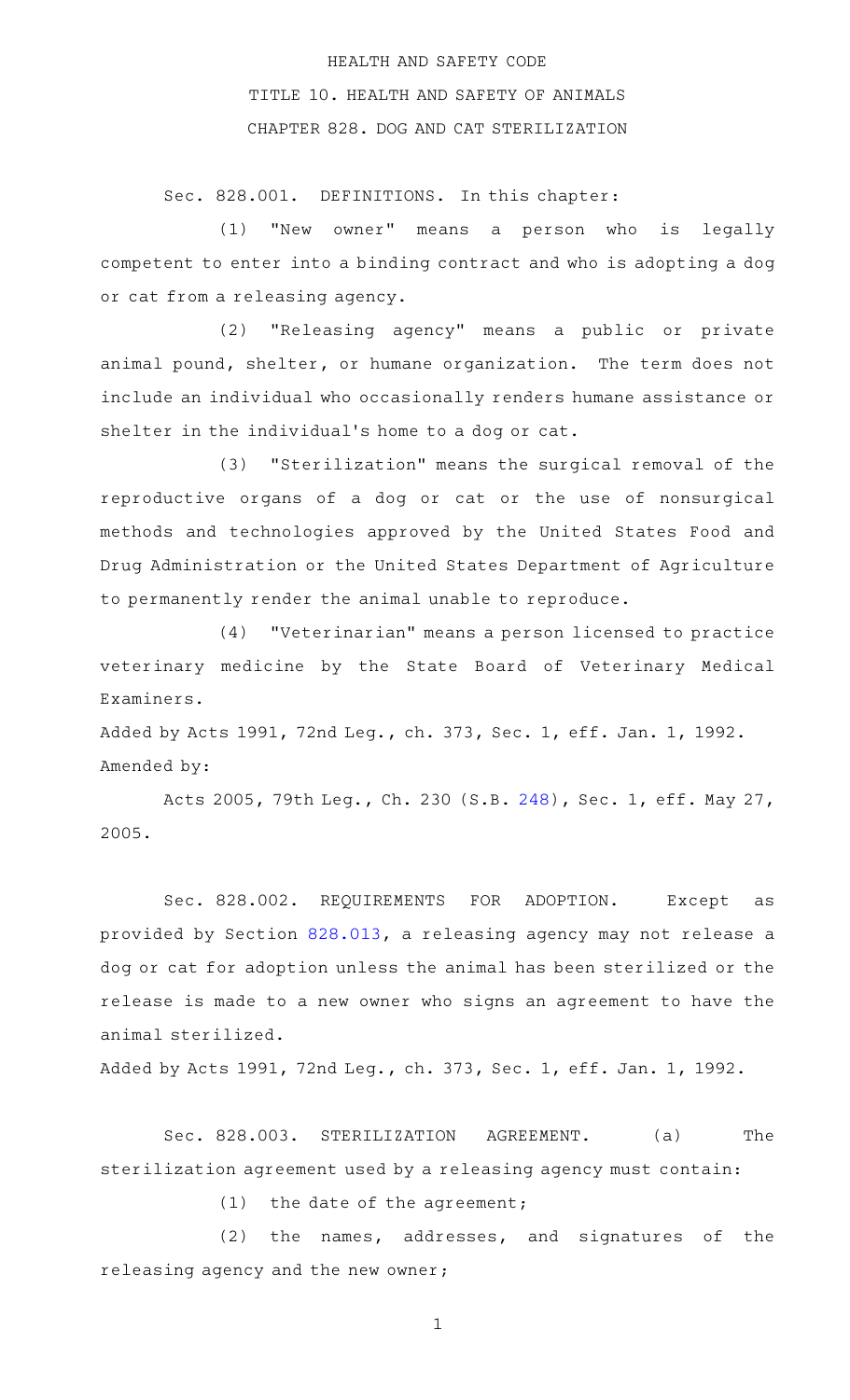## HEALTH AND SAFETY CODE TITLE 10. HEALTH AND SAFETY OF ANIMALS CHAPTER 828. DOG AND CAT STERILIZATION

Sec. 828.001. DEFINITIONS. In this chapter:

(1) "New owner" means a person who is legally competent to enter into a binding contract and who is adopting a dog or cat from a releasing agency.

(2) "Releasing agency" means a public or private animal pound, shelter, or humane organization. The term does not include an individual who occasionally renders humane assistance or shelter in the individual 's home to a dog or cat.

(3) "Sterilization" means the surgical removal of the reproductive organs of a dog or cat or the use of nonsurgical methods and technologies approved by the United States Food and Drug Administration or the United States Department of Agriculture to permanently render the animal unable to reproduce.

(4) "Veterinarian" means a person licensed to practice veterinary medicine by the State Board of Veterinary Medical Examiners.

Added by Acts 1991, 72nd Leg., ch. 373, Sec. 1, eff. Jan. 1, 1992. Amended by:

Acts 2005, 79th Leg., Ch. 230 (S.B. [248\)](http://www.legis.state.tx.us/tlodocs/79R/billtext/html/SB00248F.HTM), Sec. 1, eff. May 27, 2005.

Sec. 828.002. REQUIREMENTS FOR ADOPTION. Except as provided by Section [828.013](http://www.statutes.legis.state.tx.us/GetStatute.aspx?Code=HS&Value=828.013), a releasing agency may not release a dog or cat for adoption unless the animal has been sterilized or the release is made to a new owner who signs an agreement to have the animal sterilized.

Added by Acts 1991, 72nd Leg., ch. 373, Sec. 1, eff. Jan. 1, 1992.

Sec. 828.003. STERILIZATION AGREEMENT. (a) The sterilization agreement used by a releasing agency must contain:

(1) the date of the agreement;

 $(2)$  the names, addresses, and signatures of the releasing agency and the new owner;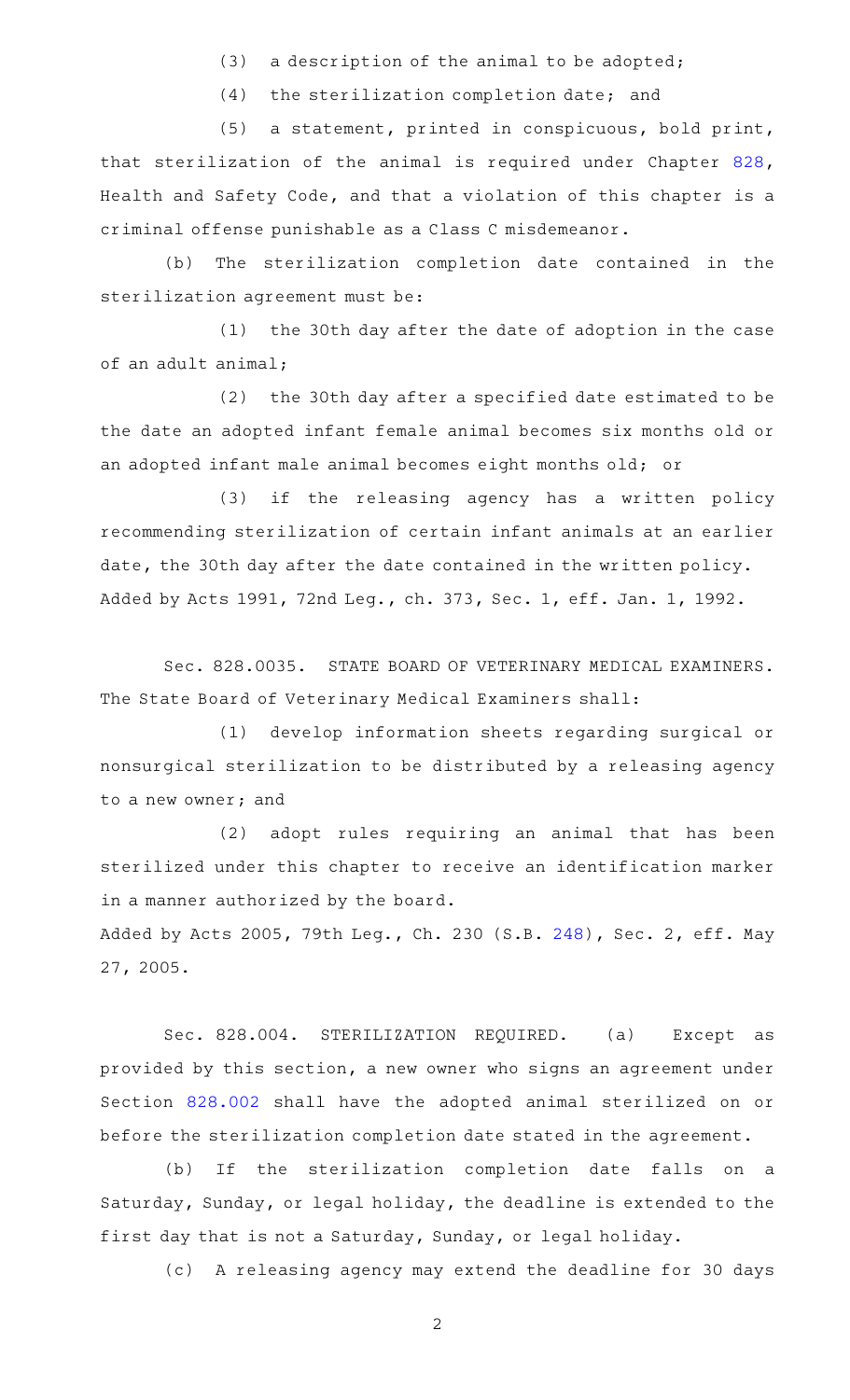$(3)$  a description of the animal to be adopted;

 $(4)$  the sterilization completion date; and

(5) a statement, printed in conspicuous, bold print, that sterilization of the animal is required under Chapter [828](http://www.statutes.legis.state.tx.us/GetStatute.aspx?Code=HS&Value=828), Health and Safety Code, and that a violation of this chapter is a criminal offense punishable as a Class C misdemeanor.

(b) The sterilization completion date contained in the sterilization agreement must be:

(1) the 30th day after the date of adoption in the case of an adult animal;

(2) the 30th day after a specified date estimated to be the date an adopted infant female animal becomes six months old or an adopted infant male animal becomes eight months old; or

(3) if the releasing agency has a written policy recommending sterilization of certain infant animals at an earlier date, the 30th day after the date contained in the written policy. Added by Acts 1991, 72nd Leg., ch. 373, Sec. 1, eff. Jan. 1, 1992.

Sec. 828.0035. STATE BOARD OF VETERINARY MEDICAL EXAMINERS. The State Board of Veterinary Medical Examiners shall:

(1) develop information sheets regarding surgical or nonsurgical sterilization to be distributed by a releasing agency to a new owner; and

(2) adopt rules requiring an animal that has been sterilized under this chapter to receive an identification marker in a manner authorized by the board.

Added by Acts 2005, 79th Leg., Ch. 230 (S.B. [248\)](http://www.legis.state.tx.us/tlodocs/79R/billtext/html/SB00248F.HTM), Sec. 2, eff. May 27, 2005.

Sec. 828.004. STERILIZATION REQUIRED. (a) Except as provided by this section, a new owner who signs an agreement under Section [828.002](http://www.statutes.legis.state.tx.us/GetStatute.aspx?Code=HS&Value=828.002) shall have the adopted animal sterilized on or before the sterilization completion date stated in the agreement.

(b) If the sterilization completion date falls on a Saturday, Sunday, or legal holiday, the deadline is extended to the first day that is not a Saturday, Sunday, or legal holiday.

(c) A releasing agency may extend the deadline for 30 days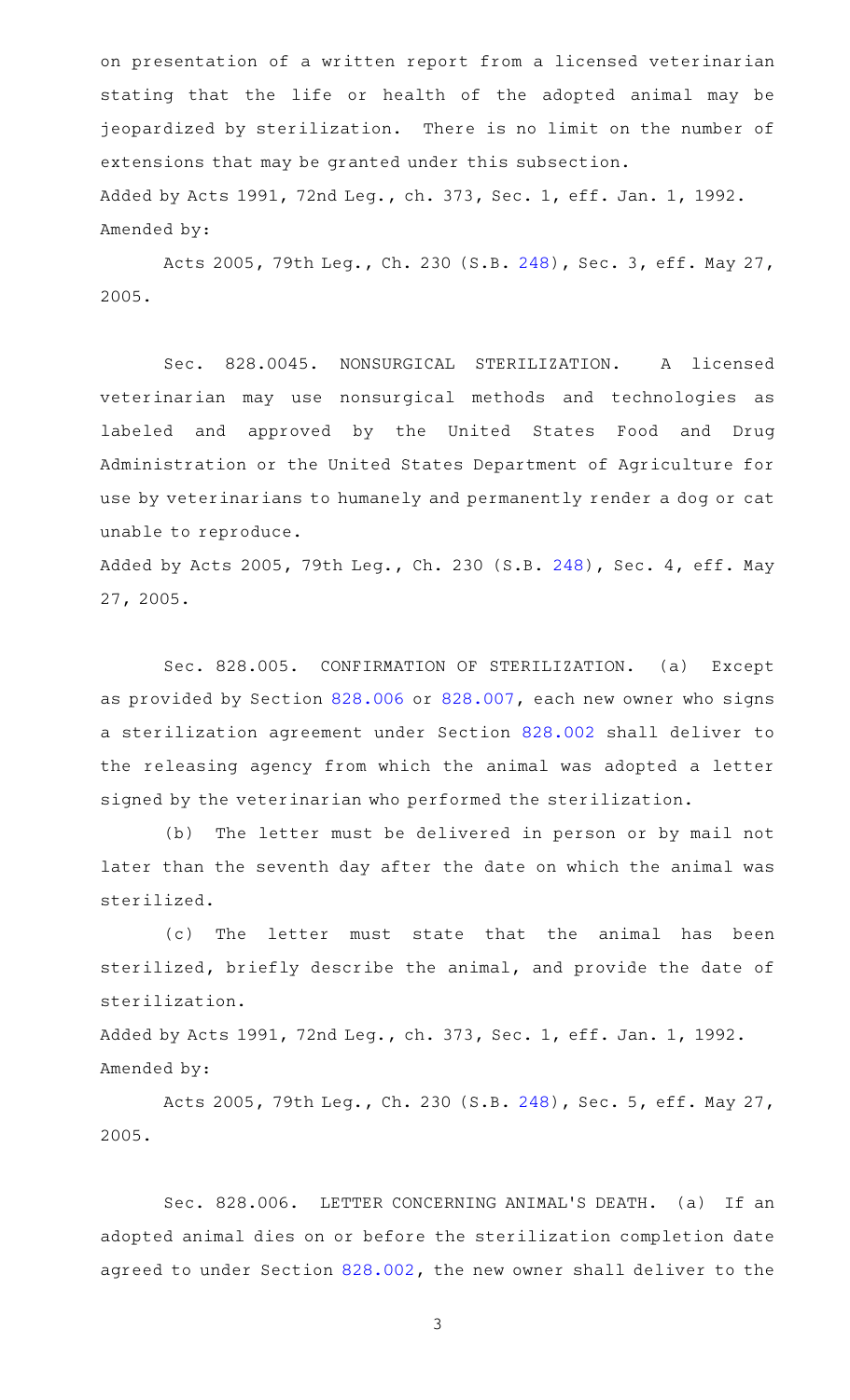on presentation of a written report from a licensed veterinarian stating that the life or health of the adopted animal may be jeopardized by sterilization. There is no limit on the number of extensions that may be granted under this subsection. Added by Acts 1991, 72nd Leg., ch. 373, Sec. 1, eff. Jan. 1, 1992. Amended by:

Acts 2005, 79th Leg., Ch. 230 (S.B. [248\)](http://www.legis.state.tx.us/tlodocs/79R/billtext/html/SB00248F.HTM), Sec. 3, eff. May 27, 2005.

Sec. 828.0045. NONSURGICAL STERILIZATION. A licensed veterinarian may use nonsurgical methods and technologies as labeled and approved by the United States Food and Drug Administration or the United States Department of Agriculture for use by veterinarians to humanely and permanently render a dog or cat unable to reproduce.

Added by Acts 2005, 79th Leg., Ch. 230 (S.B. [248\)](http://www.legis.state.tx.us/tlodocs/79R/billtext/html/SB00248F.HTM), Sec. 4, eff. May 27, 2005.

Sec. 828.005. CONFIRMATION OF STERILIZATION. (a) Except as provided by Section [828.006](http://www.statutes.legis.state.tx.us/GetStatute.aspx?Code=HS&Value=828.006) or [828.007,](http://www.statutes.legis.state.tx.us/GetStatute.aspx?Code=HS&Value=828.007) each new owner who signs a sterilization agreement under Section [828.002](http://www.statutes.legis.state.tx.us/GetStatute.aspx?Code=HS&Value=828.002) shall deliver to the releasing agency from which the animal was adopted a letter signed by the veterinarian who performed the sterilization.

(b) The letter must be delivered in person or by mail not later than the seventh day after the date on which the animal was sterilized.

(c) The letter must state that the animal has been sterilized, briefly describe the animal, and provide the date of sterilization.

Added by Acts 1991, 72nd Leg., ch. 373, Sec. 1, eff. Jan. 1, 1992. Amended by:

Acts 2005, 79th Leg., Ch. 230 (S.B. [248\)](http://www.legis.state.tx.us/tlodocs/79R/billtext/html/SB00248F.HTM), Sec. 5, eff. May 27, 2005.

Sec. 828.006. LETTER CONCERNING ANIMAL'S DEATH. (a) If an adopted animal dies on or before the sterilization completion date agreed to under Section [828.002,](http://www.statutes.legis.state.tx.us/GetStatute.aspx?Code=HS&Value=828.002) the new owner shall deliver to the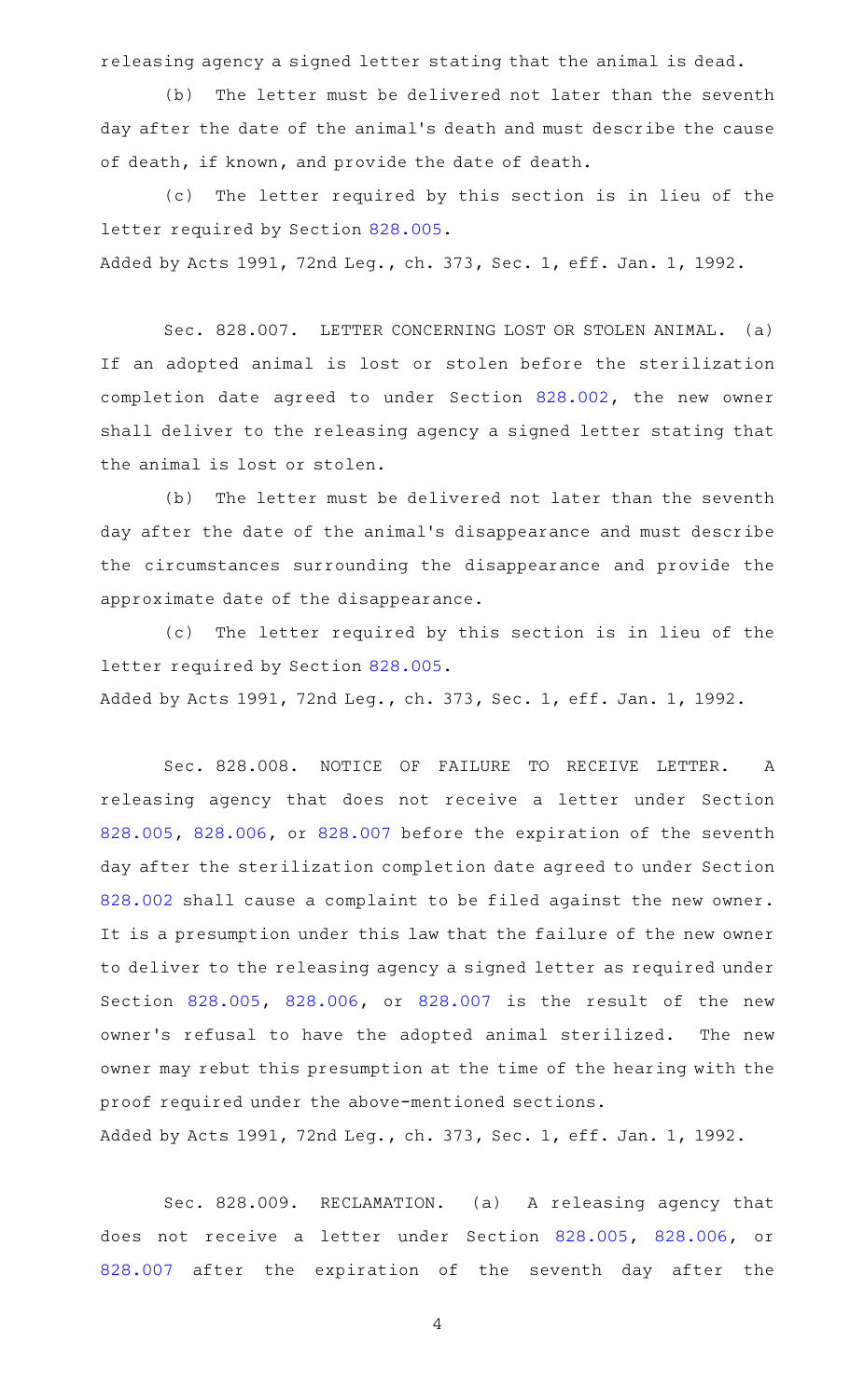releasing agency a signed letter stating that the animal is dead.

(b) The letter must be delivered not later than the seventh day after the date of the animal 's death and must describe the cause of death, if known, and provide the date of death.

(c) The letter required by this section is in lieu of the letter required by Section [828.005.](http://www.statutes.legis.state.tx.us/GetStatute.aspx?Code=HS&Value=828.005) Added by Acts 1991, 72nd Leg., ch. 373, Sec. 1, eff. Jan. 1, 1992.

Sec. 828.007. LETTER CONCERNING LOST OR STOLEN ANIMAL. (a) If an adopted animal is lost or stolen before the sterilization completion date agreed to under Section [828.002,](http://www.statutes.legis.state.tx.us/GetStatute.aspx?Code=HS&Value=828.002) the new owner shall deliver to the releasing agency a signed letter stating that

the animal is lost or stolen.

(b) The letter must be delivered not later than the seventh day after the date of the animal 's disappearance and must describe the circumstances surrounding the disappearance and provide the approximate date of the disappearance.

(c) The letter required by this section is in lieu of the letter required by Section [828.005.](http://www.statutes.legis.state.tx.us/GetStatute.aspx?Code=HS&Value=828.005)

Added by Acts 1991, 72nd Leg., ch. 373, Sec. 1, eff. Jan. 1, 1992.

Sec. 828.008. NOTICE OF FAILURE TO RECEIVE LETTER. A releasing agency that does not receive a letter under Section [828.005,](http://www.statutes.legis.state.tx.us/GetStatute.aspx?Code=HS&Value=828.005) [828.006](http://www.statutes.legis.state.tx.us/GetStatute.aspx?Code=HS&Value=828.006), or [828.007](http://www.statutes.legis.state.tx.us/GetStatute.aspx?Code=HS&Value=828.007) before the expiration of the seventh day after the sterilization completion date agreed to under Section [828.002](http://www.statutes.legis.state.tx.us/GetStatute.aspx?Code=HS&Value=828.002) shall cause a complaint to be filed against the new owner. It is a presumption under this law that the failure of the new owner to deliver to the releasing agency a signed letter as required under Section [828.005,](http://www.statutes.legis.state.tx.us/GetStatute.aspx?Code=HS&Value=828.005) [828.006](http://www.statutes.legis.state.tx.us/GetStatute.aspx?Code=HS&Value=828.006), or [828.007](http://www.statutes.legis.state.tx.us/GetStatute.aspx?Code=HS&Value=828.007) is the result of the new owner's refusal to have the adopted animal sterilized. The new owner may rebut this presumption at the time of the hearing with the proof required under the above-mentioned sections.

Added by Acts 1991, 72nd Leg., ch. 373, Sec. 1, eff. Jan. 1, 1992.

Sec. 828.009. RECLAMATION. (a) A releasing agency that does not receive a letter under Section [828.005,](http://www.statutes.legis.state.tx.us/GetStatute.aspx?Code=HS&Value=828.005) [828.006](http://www.statutes.legis.state.tx.us/GetStatute.aspx?Code=HS&Value=828.006), or [828.007](http://www.statutes.legis.state.tx.us/GetStatute.aspx?Code=HS&Value=828.007) after the expiration of the seventh day after the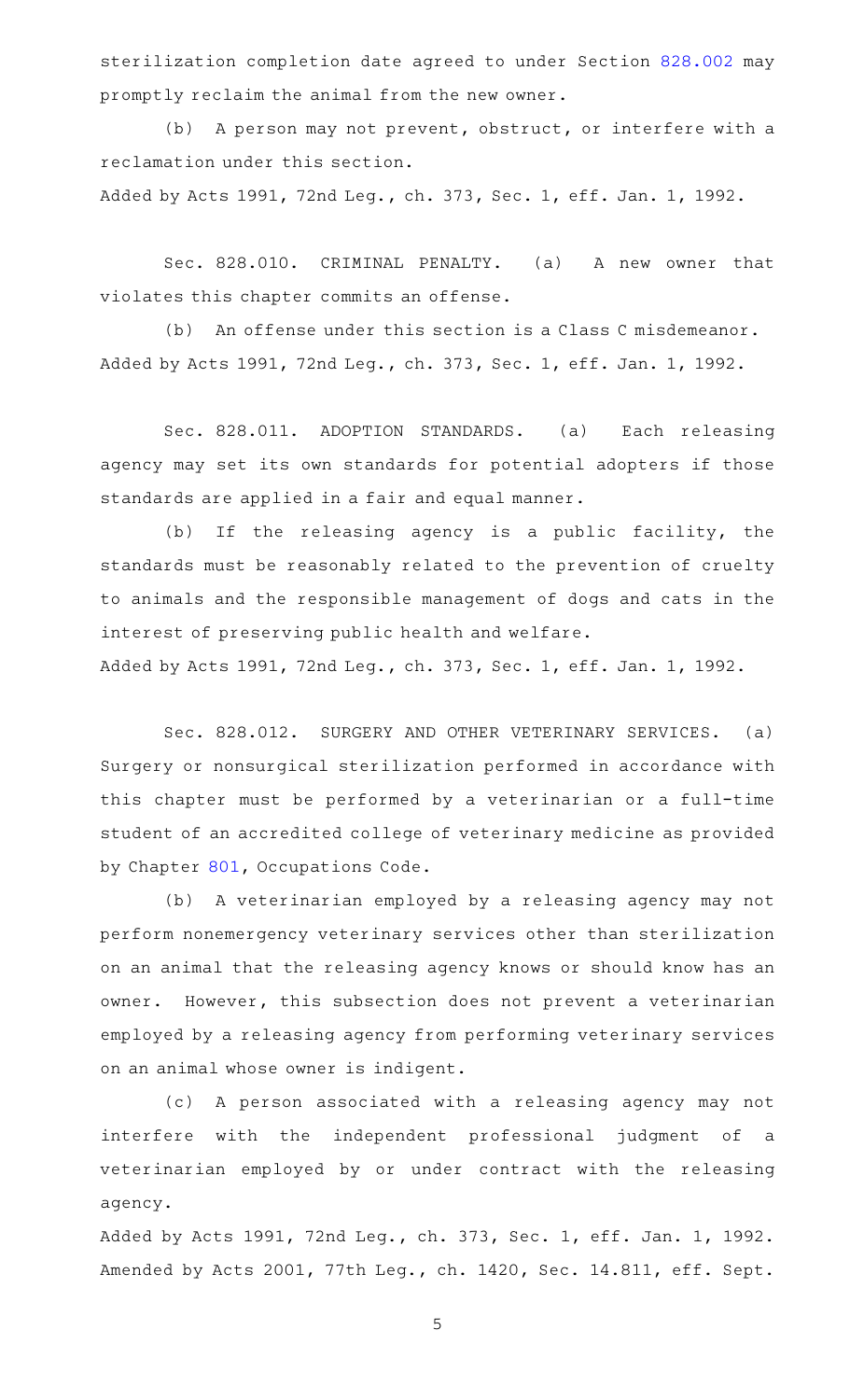sterilization completion date agreed to under Section [828.002](http://www.statutes.legis.state.tx.us/GetStatute.aspx?Code=HS&Value=828.002) may promptly reclaim the animal from the new owner.

(b) A person may not prevent, obstruct, or interfere with a reclamation under this section.

Added by Acts 1991, 72nd Leg., ch. 373, Sec. 1, eff. Jan. 1, 1992.

Sec. 828.010. CRIMINAL PENALTY. (a) A new owner that violates this chapter commits an offense.

(b) An offense under this section is a Class C misdemeanor. Added by Acts 1991, 72nd Leg., ch. 373, Sec. 1, eff. Jan. 1, 1992.

Sec. 828.011. ADOPTION STANDARDS. (a) Each releasing agency may set its own standards for potential adopters if those standards are applied in a fair and equal manner.

(b) If the releasing agency is a public facility, the standards must be reasonably related to the prevention of cruelty to animals and the responsible management of dogs and cats in the interest of preserving public health and welfare.

Added by Acts 1991, 72nd Leg., ch. 373, Sec. 1, eff. Jan. 1, 1992.

Sec. 828.012. SURGERY AND OTHER VETERINARY SERVICES. (a) Surgery or nonsurgical sterilization performed in accordance with this chapter must be performed by a veterinarian or a full-time student of an accredited college of veterinary medicine as provided by Chapter [801,](http://www.statutes.legis.state.tx.us/GetStatute.aspx?Code=OC&Value=801) Occupations Code.

(b) A veterinarian employed by a releasing agency may not perform nonemergency veterinary services other than sterilization on an animal that the releasing agency knows or should know has an owner. However, this subsection does not prevent a veterinarian employed by a releasing agency from performing veterinary services on an animal whose owner is indigent.

(c)AAA person associated with a releasing agency may not interfere with the independent professional judgment of a veterinarian employed by or under contract with the releasing agency.

Added by Acts 1991, 72nd Leg., ch. 373, Sec. 1, eff. Jan. 1, 1992. Amended by Acts 2001, 77th Leg., ch. 1420, Sec. 14.811, eff. Sept.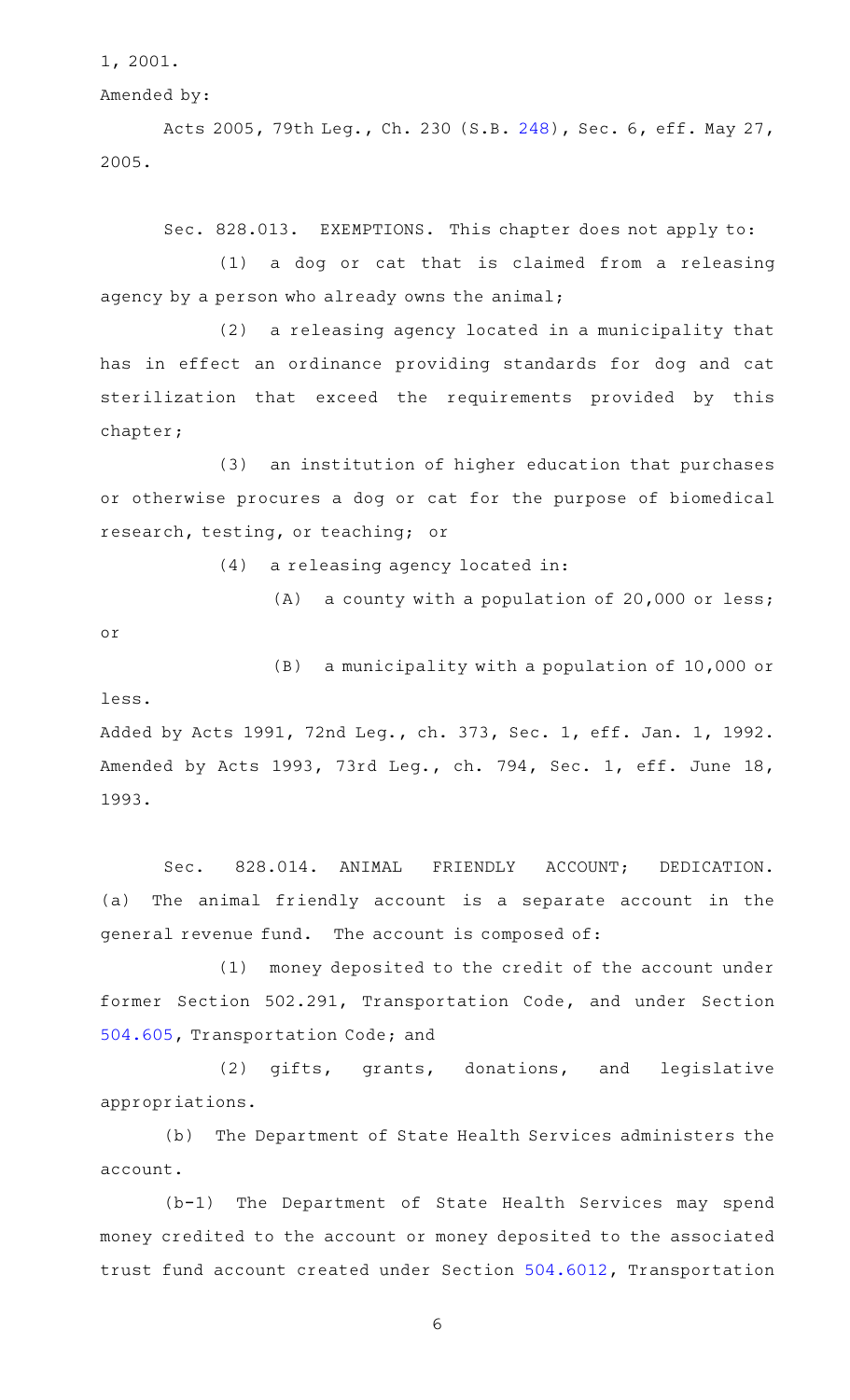1, 2001.

Amended by:

Acts 2005, 79th Leg., Ch. 230 (S.B. [248\)](http://www.legis.state.tx.us/tlodocs/79R/billtext/html/SB00248F.HTM), Sec. 6, eff. May 27, 2005.

Sec. 828.013. EXEMPTIONS. This chapter does not apply to:

(1) a dog or cat that is claimed from a releasing agency by a person who already owns the animal;

 $(2)$  a releasing agency located in a municipality that has in effect an ordinance providing standards for dog and cat sterilization that exceed the requirements provided by this chapter;

(3) an institution of higher education that purchases or otherwise procures a dog or cat for the purpose of biomedical research, testing, or teaching; or

 $(4)$  a releasing agency located in:

 $(A)$  a county with a population of 20,000 or less;

or

 $(B)$  a municipality with a population of 10,000 or less.

Added by Acts 1991, 72nd Leg., ch. 373, Sec. 1, eff. Jan. 1, 1992. Amended by Acts 1993, 73rd Leg., ch. 794, Sec. 1, eff. June 18, 1993.

Sec. 828.014. ANIMAL FRIENDLY ACCOUNT; DEDICATION. (a) The animal friendly account is a separate account in the general revenue fund. The account is composed of:

(1) money deposited to the credit of the account under former Section 502.291, Transportation Code, and under Section [504.605,](http://www.statutes.legis.state.tx.us/GetStatute.aspx?Code=TN&Value=504.605) Transportation Code; and

(2) gifts, grants, donations, and legislative appropriations.

(b) The Department of State Health Services administers the account.

 $(b-1)$  The Department of State Health Services may spend money credited to the account or money deposited to the associated trust fund account created under Section [504.6012,](http://www.statutes.legis.state.tx.us/GetStatute.aspx?Code=TN&Value=504.6012) Transportation